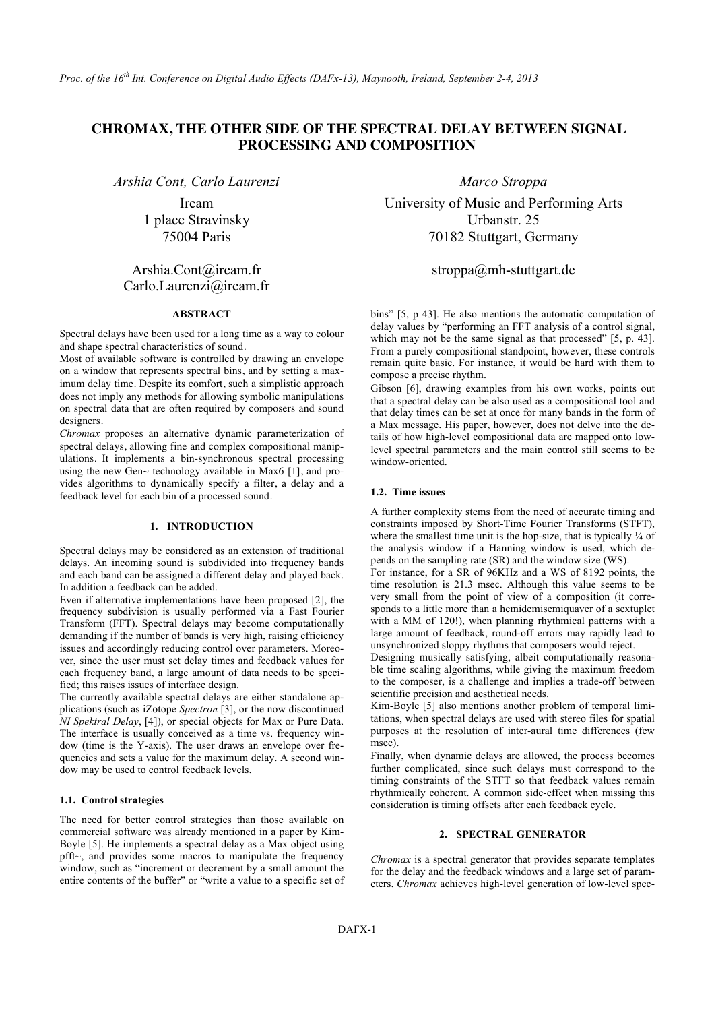# **CHROMAX, THE OTHER SIDE OF THE SPECTRAL DELAY BETWEEN SIGNAL PROCESSING AND COMPOSITION**

*Arshia Cont, Carlo Laurenzi Marco Stroppa*

Ircam 1 place Stravinsky 75004 Paris

# Arshia.Cont@ircam.fr Carlo.Laurenzi@ircam.fr

# **ABSTRACT**

Spectral delays have been used for a long time as a way to colour and shape spectral characteristics of sound.

Most of available software is controlled by drawing an envelope on a window that represents spectral bins, and by setting a maximum delay time. Despite its comfort, such a simplistic approach does not imply any methods for allowing symbolic manipulations on spectral data that are often required by composers and sound designers.

*Chromax* proposes an alternative dynamic parameterization of spectral delays, allowing fine and complex compositional manipulations. It implements a bin-synchronous spectral processing using the new Gen $\sim$  technology available in Max6 [1], and provides algorithms to dynamically specify a filter, a delay and a feedback level for each bin of a processed sound.

# **1. INTRODUCTION**

Spectral delays may be considered as an extension of traditional delays. An incoming sound is subdivided into frequency bands and each band can be assigned a different delay and played back. In addition a feedback can be added.

Even if alternative implementations have been proposed [2], the frequency subdivision is usually performed via a Fast Fourier Transform (FFT). Spectral delays may become computationally demanding if the number of bands is very high, raising efficiency issues and accordingly reducing control over parameters. Moreover, since the user must set delay times and feedback values for each frequency band, a large amount of data needs to be specified; this raises issues of interface design.

The currently available spectral delays are either standalone applications (such as iZotope *Spectron* [3], or the now discontinued *NI Spektral Delay*, [4]), or special objects for Max or Pure Data. The interface is usually conceived as a time vs. frequency window (time is the Y-axis). The user draws an envelope over frequencies and sets a value for the maximum delay. A second window may be used to control feedback levels.

#### **1.1. Control strategies**

The need for better control strategies than those available on commercial software was already mentioned in a paper by Kim-Boyle [5]. He implements a spectral delay as a Max object using pfft~, and provides some macros to manipulate the frequency window, such as "increment or decrement by a small amount the entire contents of the buffer" or "write a value to a specific set of

University of Music and Performing Arts Urbanstr. 25 70182 Stuttgart, Germany

# stroppa@mh-stuttgart.de

bins" [5, p 43]. He also mentions the automatic computation of delay values by "performing an FFT analysis of a control signal, which may not be the same signal as that processed" [5, p. 43]. From a purely compositional standpoint, however, these controls remain quite basic. For instance, it would be hard with them to compose a precise rhythm.

Gibson [6], drawing examples from his own works, points out that a spectral delay can be also used as a compositional tool and that delay times can be set at once for many bands in the form of a Max message. His paper, however, does not delve into the details of how high-level compositional data are mapped onto lowlevel spectral parameters and the main control still seems to be window-oriented.

## **1.2. Time issues**

A further complexity stems from the need of accurate timing and constraints imposed by Short-Time Fourier Transforms (STFT), where the smallest time unit is the hop-size, that is typically  $\frac{1}{4}$  of the analysis window if a Hanning window is used, which depends on the sampling rate (SR) and the window size (WS).

For instance, for a SR of 96KHz and a WS of 8192 points, the time resolution is 21.3 msec. Although this value seems to be very small from the point of view of a composition (it corresponds to a little more than a hemidemisemiquaver of a sextuplet with a MM of 120!), when planning rhythmical patterns with a large amount of feedback, round-off errors may rapidly lead to unsynchronized sloppy rhythms that composers would reject.

Designing musically satisfying, albeit computationally reasonable time scaling algorithms, while giving the maximum freedom to the composer, is a challenge and implies a trade-off between scientific precision and aesthetical needs.

Kim-Boyle [5] also mentions another problem of temporal limitations, when spectral delays are used with stereo files for spatial purposes at the resolution of inter-aural time differences (few msec).

Finally, when dynamic delays are allowed, the process becomes further complicated, since such delays must correspond to the timing constraints of the STFT so that feedback values remain rhythmically coherent. A common side-effect when missing this consideration is timing offsets after each feedback cycle.

## **2. SPECTRAL GENERATOR**

*Chromax* is a spectral generator that provides separate templates for the delay and the feedback windows and a large set of parameters. *Chromax* achieves high-level generation of low-level spec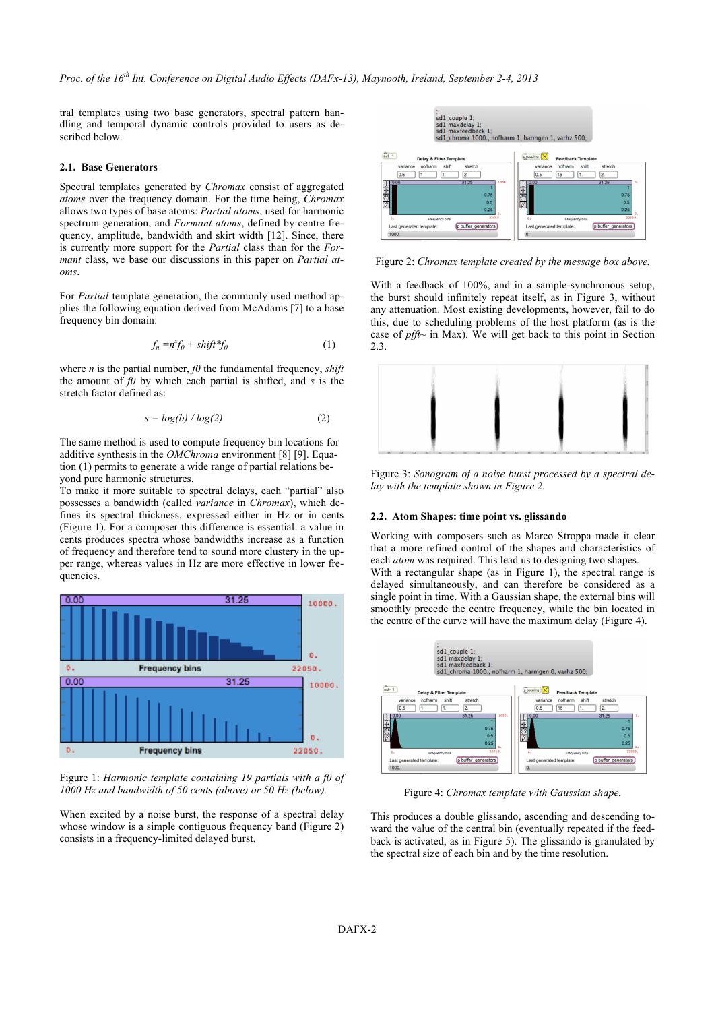tral templates using two base generators, spectral pattern handling and temporal dynamic controls provided to users as described below.

#### **2.1. Base Generators**

Spectral templates generated by *Chromax* consist of aggregated *atoms* over the frequency domain. For the time being, *Chromax* allows two types of base atoms: *Partial atoms*, used for harmonic spectrum generation, and *Formant atoms*, defined by centre frequency, amplitude, bandwidth and skirt width [12]. Since, there is currently more support for the *Partial* class than for the *Formant* class, we base our discussions in this paper on *Partial atoms*.

For *Partial* template generation, the commonly used method applies the following equation derived from McAdams [7] to a base frequency bin domain:

$$
f_n = n^s f_0 + shift^* f_0 \tag{1}
$$

where  $n$  is the partial number,  $f0$  the fundamental frequency, *shift* the amount of *f0* by which each partial is shifted, and *s* is the stretch factor defined as:

$$
s = \log(b) / \log(2) \tag{2}
$$

The same method is used to compute frequency bin locations for additive synthesis in the *OMChroma* environment [8] [9]. Equation (1) permits to generate a wide range of partial relations beyond pure harmonic structures.

To make it more suitable to spectral delays, each "partial" also possesses a bandwidth (called *variance* in *Chromax*), which defines its spectral thickness, expressed either in Hz or in cents (Figure 1). For a composer this difference is essential: a value in cents produces spectra whose bandwidths increase as a function of frequency and therefore tend to sound more clustery in the upper range, whereas values in Hz are more effective in lower frequencies.



Figure 1: *Harmonic template containing 19 partials with a f0 of 1000 Hz and bandwidth of 50 cents (above) or 50 Hz (below).*

When excited by a noise burst, the response of a spectral delay whose window is a simple contiguous frequency band (Figure 2) consists in a frequency-limited delayed burst.



Figure 2: *Chromax template created by the message box above.*

With a feedback of 100%, and in a sample-synchronous setup, the burst should infinitely repeat itself, as in Figure 3, without any attenuation. Most existing developments, however, fail to do this, due to scheduling problems of the host platform (as is the case of *pfft~* in Max). We will get back to this point in Section 2.3.



Figure 3: *Sonogram of a noise burst processed by a spectral delay with the template shown in Figure 2.*

#### **2.2. Atom Shapes: time point vs. glissando**

Working with composers such as Marco Stroppa made it clear that a more refined control of the shapes and characteristics of each *atom* was required. This lead us to designing two shapes.

With a rectangular shape (as in Figure 1), the spectral range is delayed simultaneously, and can therefore be considered as a single point in time. With a Gaussian shape, the external bins will smoothly precede the centre frequency, while the bin located in the centre of the curve will have the maximum delay (Figure 4).



Figure 4: *Chromax template with Gaussian shape.*

This produces a double glissando, ascending and descending toward the value of the central bin (eventually repeated if the feedback is activated, as in Figure 5). The glissando is granulated by the spectral size of each bin and by the time resolution.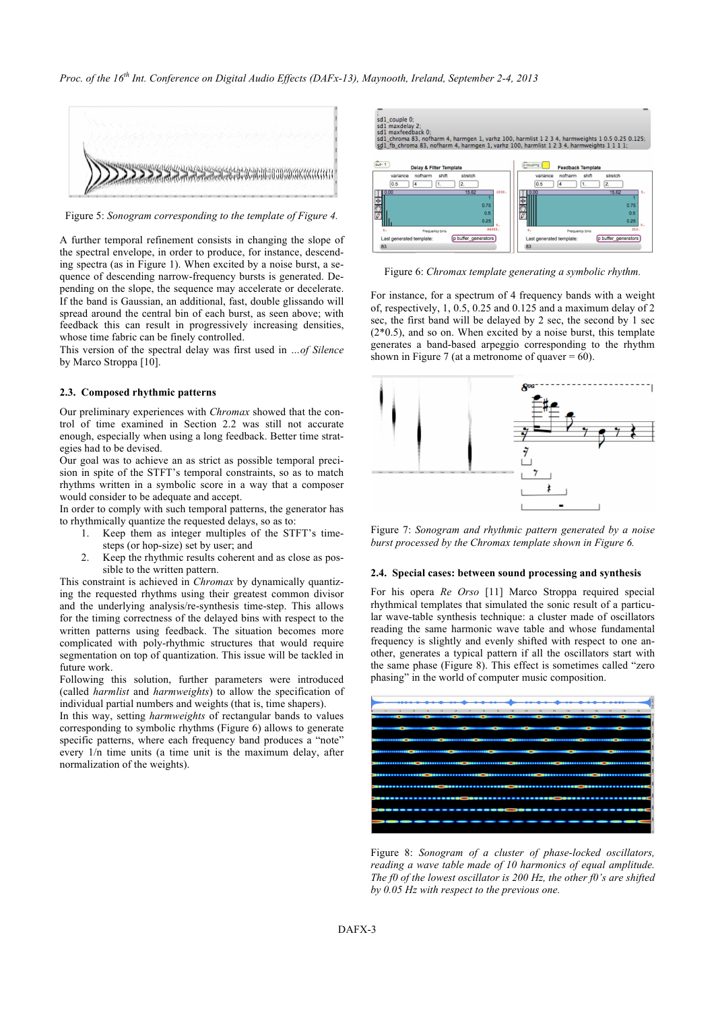

Figure 5: *Sonogram corresponding to the template of Figure 4.*

A further temporal refinement consists in changing the slope of the spectral envelope, in order to produce, for instance, descending spectra (as in Figure 1). When excited by a noise burst, a sequence of descending narrow-frequency bursts is generated. Depending on the slope, the sequence may accelerate or decelerate. If the band is Gaussian, an additional, fast, double glissando will spread around the central bin of each burst, as seen above; with feedback this can result in progressively increasing densities, whose time fabric can be finely controlled.

This version of the spectral delay was first used in *…of Silence* by Marco Stroppa [10].

#### **2.3. Composed rhythmic patterns**

Our preliminary experiences with *Chromax* showed that the control of time examined in Section 2.2 was still not accurate enough, especially when using a long feedback. Better time strategies had to be devised.

Our goal was to achieve an as strict as possible temporal precision in spite of the STFT's temporal constraints, so as to match rhythms written in a symbolic score in a way that a composer would consider to be adequate and accept.

In order to comply with such temporal patterns, the generator has to rhythmically quantize the requested delays, so as to:

- 1. Keep them as integer multiples of the STFT's timesteps (or hop-size) set by user; and
- 2. Keep the rhythmic results coherent and as close as possible to the written pattern.

This constraint is achieved in *Chromax* by dynamically quantizing the requested rhythms using their greatest common divisor and the underlying analysis/re-synthesis time-step. This allows for the timing correctness of the delayed bins with respect to the written patterns using feedback. The situation becomes more complicated with poly-rhythmic structures that would require segmentation on top of quantization. This issue will be tackled in future work.

Following this solution, further parameters were introduced (called *harmlist* and *harmweights*) to allow the specification of individual partial numbers and weights (that is, time shapers).

In this way, setting *harmweights* of rectangular bands to values corresponding to symbolic rhythms (Figure 6) allows to generate specific patterns, where each frequency band produces a "note" every 1/n time units (a time unit is the maximum delay, after normalization of the weights).



Figure 6: *Chromax template generating a symbolic rhythm.*

For instance, for a spectrum of 4 frequency bands with a weight of, respectively, 1, 0.5, 0.25 and 0.125 and a maximum delay of 2 sec, the first band will be delayed by 2 sec, the second by 1 sec  $(2*0.5)$ , and so on. When excited by a noise burst, this template generates a band-based arpeggio corresponding to the rhythm shown in Figure 7 (at a metronome of quaver  $= 60$ ).



Figure 7: *Sonogram and rhythmic pattern generated by a noise burst processed by the Chromax template shown in Figure 6.*

## **2.4. Special cases: between sound processing and synthesis**

For his opera *Re Orso* [11] Marco Stroppa required special rhythmical templates that simulated the sonic result of a particular wave-table synthesis technique: a cluster made of oscillators reading the same harmonic wave table and whose fundamental frequency is slightly and evenly shifted with respect to one another, generates a typical pattern if all the oscillators start with the same phase (Figure 8). This effect is sometimes called "zero phasing" in the world of computer music composition.



Figure 8: *Sonogram of a cluster of phase-locked oscillators, reading a wave table made of 10 harmonics of equal amplitude. The f0 of the lowest oscillator is 200 Hz, the other f0's are shifted by 0.05 Hz with respect to the previous one.*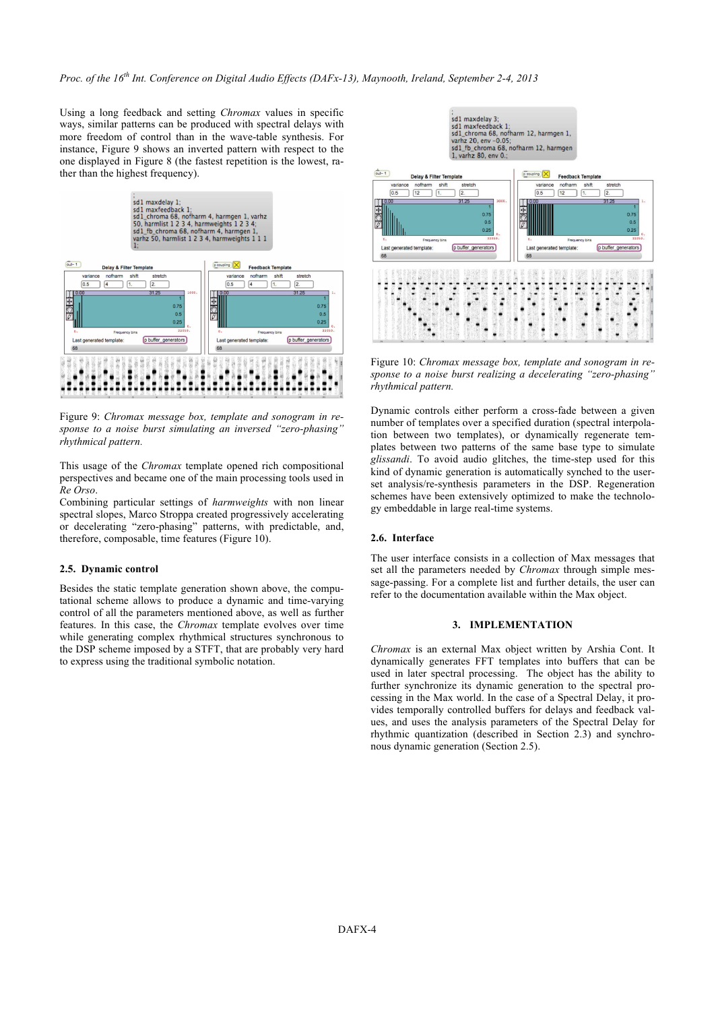Using a long feedback and setting *Chromax* values in specific ways, similar patterns can be produced with spectral delays with more freedom of control than in the wave-table synthesis. For instance, Figure 9 shows an inverted pattern with respect to the one displayed in Figure 8 (the fastest repetition is the lowest, rather than the highest frequency).



Figure 9: *Chromax message box, template and sonogram in response to a noise burst simulating an inversed "zero-phasing" rhythmical pattern.*

This usage of the *Chromax* template opened rich compositional perspectives and became one of the main processing tools used in *Re Orso*.

Combining particular settings of *harmweights* with non linear spectral slopes, Marco Stroppa created progressively accelerating or decelerating "zero-phasing" patterns, with predictable, and, therefore, composable, time features (Figure 10).

#### **2.5. Dynamic control**

Besides the static template generation shown above, the computational scheme allows to produce a dynamic and time-varying control of all the parameters mentioned above, as well as further features. In this case, the *Chromax* template evolves over time while generating complex rhythmical structures synchronous to the DSP scheme imposed by a STFT, that are probably very hard to express using the traditional symbolic notation.



Figure 10: *Chromax message box, template and sonogram in response to a noise burst realizing a decelerating "zero-phasing" rhythmical pattern.*

Dynamic controls either perform a cross-fade between a given number of templates over a specified duration (spectral interpolation between two templates), or dynamically regenerate templates between two patterns of the same base type to simulate *glissandi*. To avoid audio glitches, the time-step used for this kind of dynamic generation is automatically synched to the userset analysis/re-synthesis parameters in the DSP. Regeneration schemes have been extensively optimized to make the technology embeddable in large real-time systems.

## **2.6. Interface**

The user interface consists in a collection of Max messages that set all the parameters needed by *Chromax* through simple message-passing. For a complete list and further details, the user can refer to the documentation available within the Max object.

### **3. IMPLEMENTATION**

*Chromax* is an external Max object written by Arshia Cont. It dynamically generates FFT templates into buffers that can be used in later spectral processing. The object has the ability to further synchronize its dynamic generation to the spectral processing in the Max world. In the case of a Spectral Delay, it provides temporally controlled buffers for delays and feedback values, and uses the analysis parameters of the Spectral Delay for rhythmic quantization (described in Section 2.3) and synchronous dynamic generation (Section 2.5).